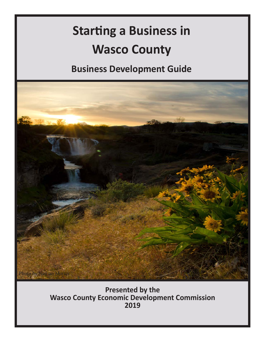# **Starting a Business in Wasco County**

**Business Development Guide**



**Presented by the Wasco County Economic Development Commission 2019**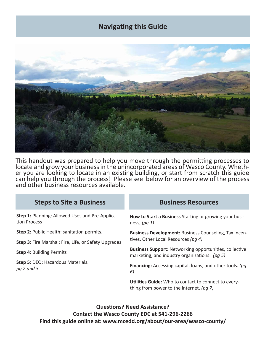# **Navigating this Guide**



This handout was prepared to help you move through the permitting processes to locate and grow your business in the unincorporated areas of Wasco County. Whether you are looking to locate in an existing building, or start from scratch this guide can help you through the process! Please see below for an overview of the process and other business resources available.

#### **Steps to Site a Business Business Resources**

**Step 1:** Planning: Allowed Uses and Pre-Application Process

**Step 2: Public Health: sanitation permits.** 

**Step 3:** Fire Marshal: Fire, Life, or Safety Upgrades

**Step 4:** Building Permits

**Step 5:** DEQ: Hazardous Materials. *pg 2 and 3*

**How to Start a Business** Starting or growing your business, *(pg 1)*

**Business Development:** Business Counseling, Tax Incentives, Other Local Resources *(pg 4)*

**Business Support:** Networking opportunities, collective marketing, and industry organizations. *(pg 5)*

**Financing:** Accessing capital, loans, and other tools. *(pg 6)*

**Utilities Guide:** Who to contact to connect to everything from power to the internet. *(pg 7)*

**Questions? Need Assistance? Contact the Wasco County EDC at 541-296-2266 Find this guide online at: www.mcedd.org/about/our-area/wasco-county/**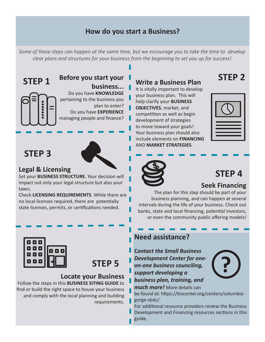# **How do you start a Business?**

*Some of these steps can happen at the same time, but we encourage you to take the time to develop clear plans and structures for your business from the beginning to set you up for success!*

**STEP 1**

**Before you start your business...** Do you have **KNOWLEDGE** pertaining to the business you plan to enter? Do you have **EXPERIENCE** managing people and finance?

# **STEP 3**

# **Legal & Licensing**

Set your **BUSINESS STRUCTURE.** Your decision will impact not only your legal structure but also your taxes.

Check **LICENSING REQUIREMENTS**. While there are no local licenses required, there are potentially state licenses, permits, or certifications needed.



It is vitally important to develop your business plan. This will help clarify your **BUSINESS OBJECTIVES**, market, and competition as well as begin development of strategies to move toward your goals! Your business plan should also include elements on **FINANCING** AND **MARKET STRATEGIES**.



**STEP 2**



# **STEP 4**

### **Seek Financing**

The plan for this step should be part of your business planning, and can happen at several intervals during the life of your business. Check out banks, state and local financing, potential investors, or even the community public offering models!



**STEP 5**

### **Locate your Business**

Follow the steps in this **BUSINESS SITING GUIDE** to find or build the right space to house your business and comply with the local planning and building requirements.

### **Need assistance?**

**C***ontact the Small Business Development Center for oneon-one business counciling, support developing a* 



*business plan, training, and* 

*much more!* More details can

be found at: https://bizcenter.org/centers/columbiagorge-sbdc/.

For additional resource providers review the Business

Development and Financing resources sections in this guide.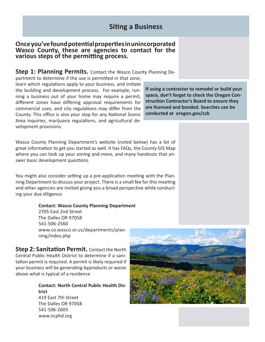#### **Once you've found potential properties in unincorporated Wasco County, these are agencies to contact for the various steps of the permitting process.**

#### **Step 1: Planning Permits.** Contact the Wasco County Planning De-

partment to determine if the use is permitted in that zone, learn which regulations apply to your business, and initiate the building and development process. For example, running a business out of your home may require a permit, different zones have differing approval requirements for commercial uses, and city regulations may differ from the County. This office is also your stop for any National Scenic Area inquiries, marijuana regulations, and agricultural development provisions.

**If using a contractor to remodel or build your space, don't forget to check the Oregon Construction Contractor's Board to ensure they are licensed and bonded. Searches can be conducted at oregon.gov/ccb**

Wasco County Planning Department's website (noted below) has a lot of great information to get you started as well. It has FAQs, the County GIS Map where you can look up your zoning and more, and many handouts that answer basic development questions.

You might also consider setting up a pre-application meeting with the Planning Department to discuss your project. There is a small fee for this meeting and other agencies are invited giving you a broad perspective while conducting your due diligence.

#### **Contact: Wasco County Planning Department**

2705 East 2nd Street The Dalles OR 97058 541-506-2560 www.co.wasco.or.us/departments/planning/index.php

**Step 2: Sanitation Permit.** Contact the North Central Public Health District to determine if a sanitation permit is required. A permit is likely required if your business will be generating byproducts or waste above what is typical of a residence

> **Contact: North Central Public Health District**  419 East 7th Street The Dalles OR 97058 541-506-2603 www.ncphd.org

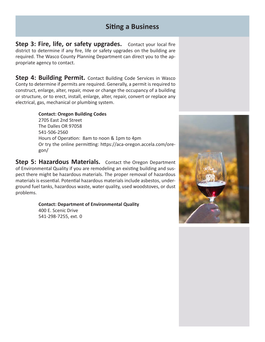# **Siting a Business**

**Step 3: Fire, life, or safety upgrades.** Contact your local fire district to determine if any fire, life or safety upgrades on the building are required. The Wasco County Planning Department can direct you to the appropriate agency to contact.

**Step 4: Building Permit.** Contact Building Code Services in Wasco Conty to determine if permits are required. Generally, a permit is required to construct, enlarge, alter, repair, move or change the occupancy of a building or structure, or to erect, install, enlarge, alter, repair, convert or replace any electrical, gas, mechanical or plumbing system.

> **Contact: Oregon Building Codes** 2705 East 2nd Street The Dalles OR 97058 541-506-2560 Hours of Operation: 8am to noon & 1pm to 4pm Or try the online permitting: https://aca-oregon.accela.com/oregon/

**Step 5: Hazardous Materials.** Contact the Oregon Department of Environmental Quality if you are remodeling an existing building and suspect there might be hazardous materials. The proper removal of hazardous materials is essential. Potential hazardous materials include asbestos, underground fuel tanks, hazardous waste, water quality, used woodstoves, or dust problems.

> **Contact: Department of Environmental Quality** 400 E. Scenic Drive

541-298-7255, ext. 0

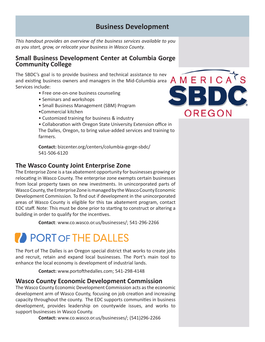## **Business Development**

*This handout provides an overview of the business services available to you as you start, grow, or relocate your business in Wasco County.* 

#### **Small Business Development Center at Columbia Gorge Community College**

The SBDC's goal is to provide business and technical assistance to new and existing business owners and managers in the Mid-Columbia area Services include:

- Free one-on-one business counseling
- Seminars and workshops
- Small Business Management (SBM) Program
- •Commercial kitchen
- Customized training for business & industry

• Collaboration with Oregon State University Extension office in The Dalles, Oregon, to bring value-added services and training to farmers.

**Contact:** bizcenter.org/centers/columbia-gorge-sbdc/ 541-506-6120

#### **The Wasco County Joint Enterprise Zone**

The Enterprise Zone is a tax abatement opportunity for businesses growing or relocating in Wasco County. The enterprise zone exempts certain businesses from local property taxes on new investments. In unincorporated parts of Wasco County, the Enterprise Zone is managed by the Wasco County Economic Development Commission. To find out if development in the unincorporated areas of Wasco County is eligible for this tax abatement program, contact EDC staff. Note: This must be done prior to starting to construct or altering a building in order to qualify for the incentives.

**Contact**: www.co.wasco.or.us/businesses/; 541-296-2266

# PORT OF THE DALLES

The Port of The Dalles is an Oregon special district that works to create jobs and recruit, retain and expand local businesses. The Port's main tool to enhance the local economy is development of industrial lands.

**Contact:** www.portofthedalles.com; 541-298-4148

#### **Wasco County Economic Development Commission**

The Wasco County Economic Development Commission acts as the economic development arm of Wasco County, focusing on job creation and increasing capacity throughout the county. The EDC supports communities in business development, provides leadership on countywide issues, and works to support businesses in Wasco County.

**Contact:** www.co.wasco.or.us/businesses/; (541)296-2266

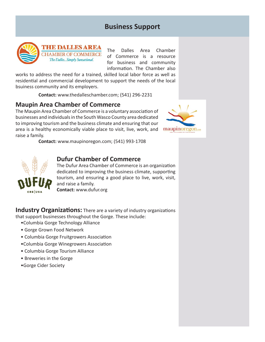# **Business Support**



**THE DALLES AREA CHAMBER OF COMMERCE** The Dalles... Simply Sunsational.

The Dalles Area Chamber of Commerce is a resource for business and community information. The Chamber also

works to address the need for a trained, skilled local labor force as well as residential and commercial development to support the needs of the local bsuiness community and its employers.

**Contact:** www.thedalleschamber.com; (541) 296-2231

#### **Maupin Area Chamber of Commerce**

The Maupin Area Chamber of Commerce is a voluntary association of businesses and individuals in the South Wasco County area dedicated to improving tourism and the business climate and ensuring that our area is a healthy economically viable place to visit, live, work, and raise a family.



**Contact:** www.maupinoregon.com; (541) 993-1708



#### **Dufur Chamber of Commerce**

The Dufur Area Chamber of Commerce is an organization dedicated to improving the business climate, supporting tourism, and ensuring a good place to live, work, visit, and raise a family. **Contact:** www.dufur.org

**Industry Organizations:** There are a variety of industry organizations that support businesses throughout the Gorge. These include:

- •Columbia Gorge Technology Alliance
- Gorge Grown Food Network
- Columbia Gorge Fruitgrowers Association
- •Columbia Gorge Winegrowers Association
- Columbia Gorge Tourism Alliance
- Breweries in the Gorge
- •Gorge Cider Society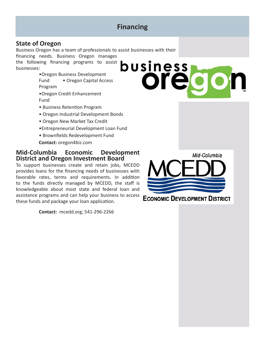# **Financing**

### **State of Oregon**

Business Oregon has a team of professionals to assist businesses with their

financing needs. Business Oregon manages the following financing programs to assist businesses:

> •Oregon Business Development Fund • Oregon Capital Access Program

•Oregon Credit Enhancement Fund

- Business Retention Program
- Oregon Industrial Development Bonds
- Oregon New Market Tax Credit
- •Entrepreneurial Development Loan Fund
- Brownfields Redevelopment Fund
- **Contact:** oregon4biz.com

#### **Mid-Columbia Economic Development District and Oregon Investment Board**

To support businesses create and retain jobs, MCEDD provides loans for the financing needs of businesses with favorable rates, terms and requirements. In addition to the funds directly managed by MCEDD, the staff is knowledgeable about most state and federal loan and assistance programs and can help your business to access these funds and package your loan application.

**Contact:** mcedd.org; 541-296-2266





**ECONOMIC DEVELOPMENT DISTRICT**